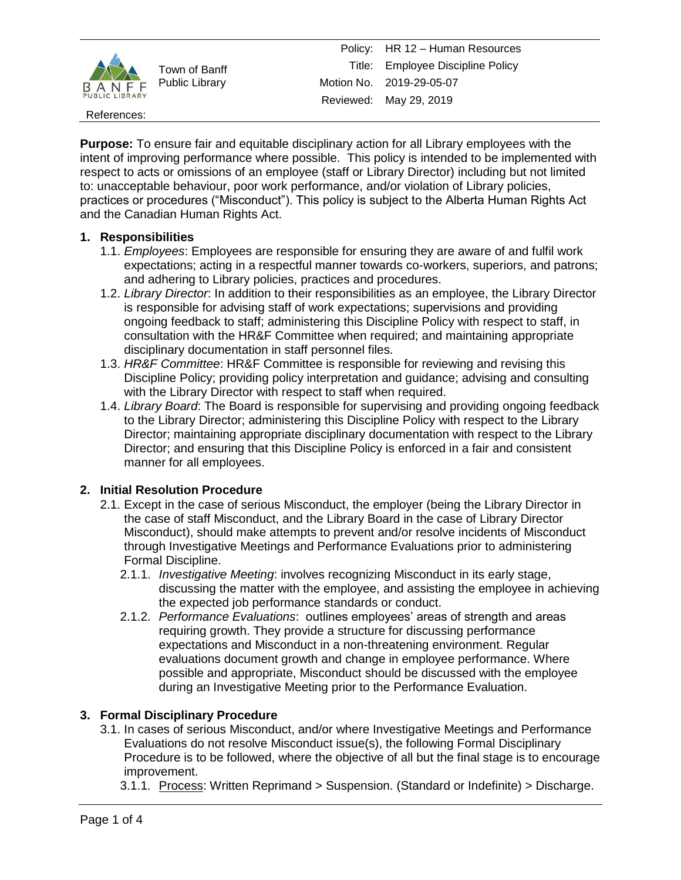

References:

**Purpose:** To ensure fair and equitable disciplinary action for all Library employees with the intent of improving performance where possible. This policy is intended to be implemented with respect to acts or omissions of an employee (staff or Library Director) including but not limited to: unacceptable behaviour, poor work performance, and/or violation of Library policies, practices or procedures ("Misconduct"). This policy is subject to the Alberta Human Rights Act and the Canadian Human Rights Act.

## **1. Responsibilities**

- 1.1. *Employees*: Employees are responsible for ensuring they are aware of and fulfil work expectations; acting in a respectful manner towards co-workers, superiors, and patrons; and adhering to Library policies, practices and procedures.
- 1.2. *Library Director*: In addition to their responsibilities as an employee, the Library Director is responsible for advising staff of work expectations; supervisions and providing ongoing feedback to staff; administering this Discipline Policy with respect to staff, in consultation with the HR&F Committee when required; and maintaining appropriate disciplinary documentation in staff personnel files.
- 1.3. *HR&F Committee*: HR&F Committee is responsible for reviewing and revising this Discipline Policy; providing policy interpretation and guidance; advising and consulting with the Library Director with respect to staff when required.
- 1.4. *Library Board*: The Board is responsible for supervising and providing ongoing feedback to the Library Director; administering this Discipline Policy with respect to the Library Director; maintaining appropriate disciplinary documentation with respect to the Library Director; and ensuring that this Discipline Policy is enforced in a fair and consistent manner for all employees.

# **2. Initial Resolution Procedure**

- 2.1. Except in the case of serious Misconduct, the employer (being the Library Director in the case of staff Misconduct, and the Library Board in the case of Library Director Misconduct), should make attempts to prevent and/or resolve incidents of Misconduct through Investigative Meetings and Performance Evaluations prior to administering Formal Discipline.
	- 2.1.1. *Investigative Meeting*: involves recognizing Misconduct in its early stage, discussing the matter with the employee, and assisting the employee in achieving the expected job performance standards or conduct.
	- 2.1.2. *Performance Evaluations*: outlines employees' areas of strength and areas requiring growth. They provide a structure for discussing performance expectations and Misconduct in a non-threatening environment. Regular evaluations document growth and change in employee performance. Where possible and appropriate, Misconduct should be discussed with the employee during an Investigative Meeting prior to the Performance Evaluation.

# **3. Formal Disciplinary Procedure**

- 3.1. In cases of serious Misconduct, and/or where Investigative Meetings and Performance Evaluations do not resolve Misconduct issue(s), the following Formal Disciplinary Procedure is to be followed, where the objective of all but the final stage is to encourage improvement.
	- 3.1.1. Process: Written Reprimand > Suspension. (Standard or Indefinite) > Discharge.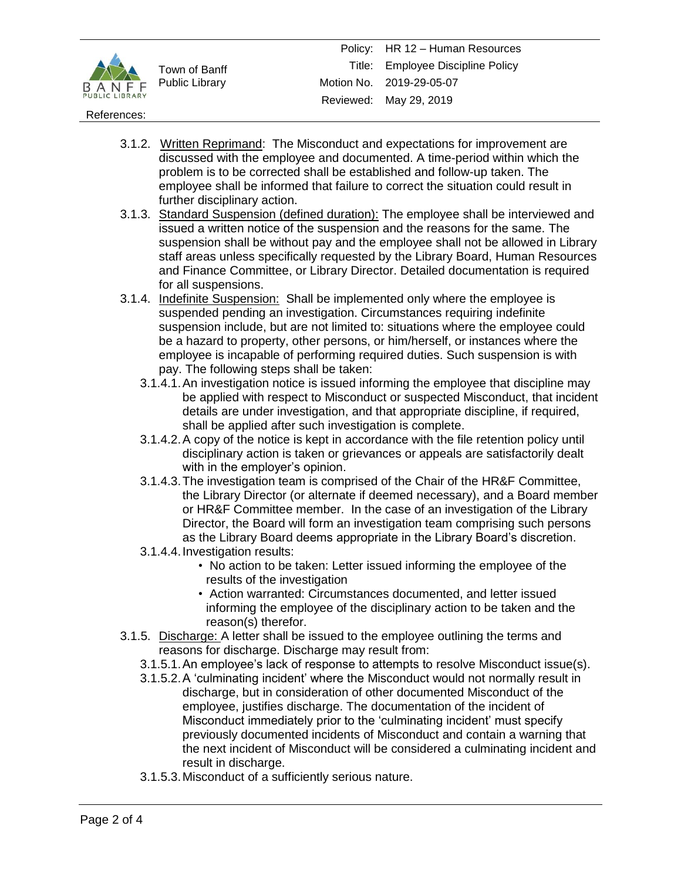

### References:

- 3.1.2. Written Reprimand: The Misconduct and expectations for improvement are discussed with the employee and documented. A time-period within which the problem is to be corrected shall be established and follow-up taken. The employee shall be informed that failure to correct the situation could result in further disciplinary action.
- 3.1.3. Standard Suspension (defined duration): The employee shall be interviewed and issued a written notice of the suspension and the reasons for the same. The suspension shall be without pay and the employee shall not be allowed in Library staff areas unless specifically requested by the Library Board, Human Resources and Finance Committee, or Library Director. Detailed documentation is required for all suspensions.
- 3.1.4. Indefinite Suspension: Shall be implemented only where the employee is suspended pending an investigation. Circumstances requiring indefinite suspension include, but are not limited to: situations where the employee could be a hazard to property, other persons, or him/herself, or instances where the employee is incapable of performing required duties. Such suspension is with pay. The following steps shall be taken:
	- 3.1.4.1.An investigation notice is issued informing the employee that discipline may be applied with respect to Misconduct or suspected Misconduct, that incident details are under investigation, and that appropriate discipline, if required, shall be applied after such investigation is complete.
	- 3.1.4.2.A copy of the notice is kept in accordance with the file retention policy until disciplinary action is taken or grievances or appeals are satisfactorily dealt with in the employer's opinion.
	- 3.1.4.3.The investigation team is comprised of the Chair of the HR&F Committee, the Library Director (or alternate if deemed necessary), and a Board member or HR&F Committee member. In the case of an investigation of the Library Director, the Board will form an investigation team comprising such persons as the Library Board deems appropriate in the Library Board's discretion.
	- 3.1.4.4.Investigation results:
		- No action to be taken: Letter issued informing the employee of the results of the investigation
		- Action warranted: Circumstances documented, and letter issued informing the employee of the disciplinary action to be taken and the reason(s) therefor.
- 3.1.5. Discharge: A letter shall be issued to the employee outlining the terms and reasons for discharge. Discharge may result from:
	- 3.1.5.1.An employee's lack of response to attempts to resolve Misconduct issue(s).
	- 3.1.5.2.A 'culminating incident' where the Misconduct would not normally result in discharge, but in consideration of other documented Misconduct of the employee, justifies discharge. The documentation of the incident of Misconduct immediately prior to the 'culminating incident' must specify previously documented incidents of Misconduct and contain a warning that the next incident of Misconduct will be considered a culminating incident and result in discharge.
	- 3.1.5.3.Misconduct of a sufficiently serious nature.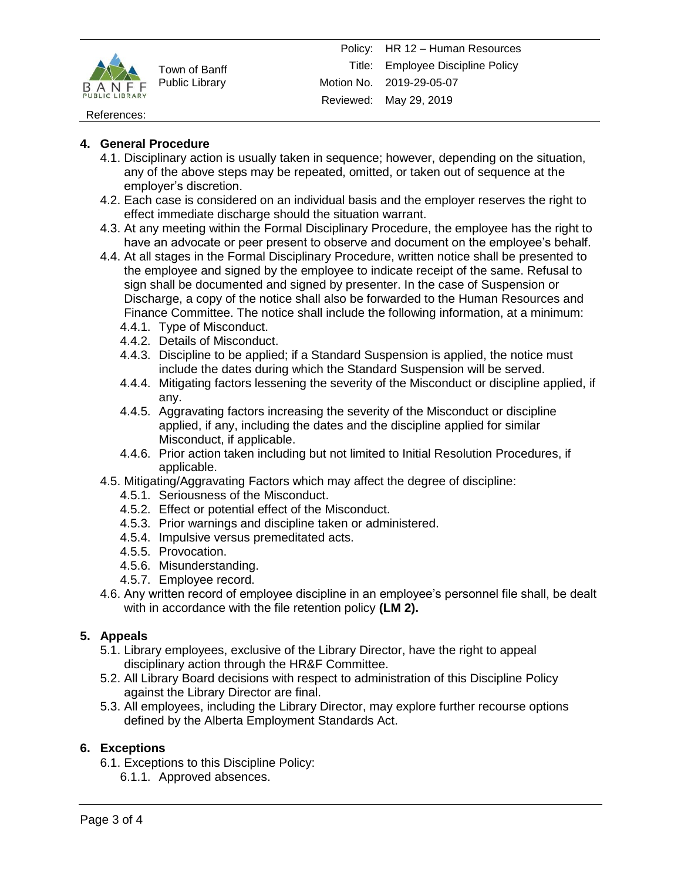

### References:

## **4. General Procedure**

- 4.1. Disciplinary action is usually taken in sequence; however, depending on the situation, any of the above steps may be repeated, omitted, or taken out of sequence at the employer's discretion.
- 4.2. Each case is considered on an individual basis and the employer reserves the right to effect immediate discharge should the situation warrant.
- 4.3. At any meeting within the Formal Disciplinary Procedure, the employee has the right to have an advocate or peer present to observe and document on the employee's behalf.
- 4.4. At all stages in the Formal Disciplinary Procedure, written notice shall be presented to the employee and signed by the employee to indicate receipt of the same. Refusal to sign shall be documented and signed by presenter. In the case of Suspension or Discharge, a copy of the notice shall also be forwarded to the Human Resources and Finance Committee. The notice shall include the following information, at a minimum:
	- 4.4.1. Type of Misconduct.
	- 4.4.2. Details of Misconduct.
	- 4.4.3. Discipline to be applied; if a Standard Suspension is applied, the notice must include the dates during which the Standard Suspension will be served.
	- 4.4.4. Mitigating factors lessening the severity of the Misconduct or discipline applied, if any.
	- 4.4.5. Aggravating factors increasing the severity of the Misconduct or discipline applied, if any, including the dates and the discipline applied for similar Misconduct, if applicable.
	- 4.4.6. Prior action taken including but not limited to Initial Resolution Procedures, if applicable.
- 4.5. Mitigating/Aggravating Factors which may affect the degree of discipline:
	- 4.5.1. Seriousness of the Misconduct.
	- 4.5.2. Effect or potential effect of the Misconduct.
	- 4.5.3. Prior warnings and discipline taken or administered.
	- 4.5.4. Impulsive versus premeditated acts.
	- 4.5.5. Provocation.
	- 4.5.6. Misunderstanding.
	- 4.5.7. Employee record.
- 4.6. Any written record of employee discipline in an employee's personnel file shall, be dealt with in accordance with the file retention policy **(LM 2).**

### **5. Appeals**

- 5.1. Library employees, exclusive of the Library Director, have the right to appeal disciplinary action through the HR&F Committee.
- 5.2. All Library Board decisions with respect to administration of this Discipline Policy against the Library Director are final.
- 5.3. All employees, including the Library Director, may explore further recourse options defined by the Alberta Employment Standards Act.

### **6. Exceptions**

- 6.1. Exceptions to this Discipline Policy:
	- 6.1.1. Approved absences.